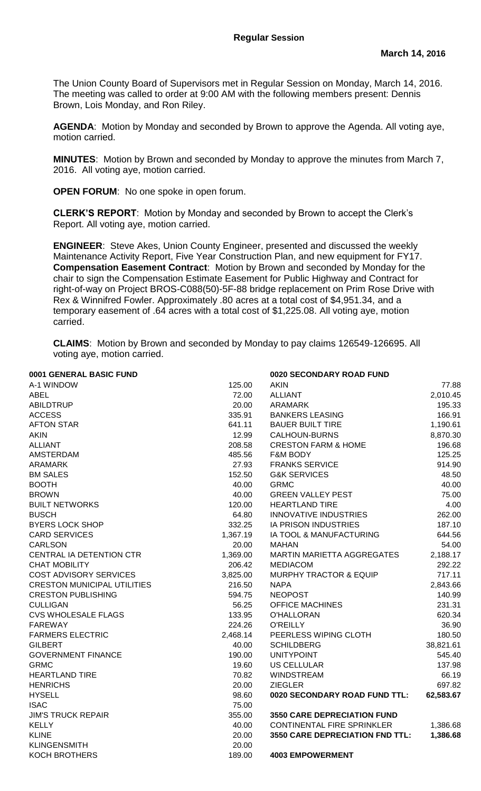The Union County Board of Supervisors met in Regular Session on Monday, March 14, 2016. The meeting was called to order at 9:00 AM with the following members present: Dennis Brown, Lois Monday, and Ron Riley.

**AGENDA**: Motion by Monday and seconded by Brown to approve the Agenda. All voting aye, motion carried.

**MINUTES**: Motion by Brown and seconded by Monday to approve the minutes from March 7, 2016. All voting aye, motion carried.

**OPEN FORUM**: No one spoke in open forum.

**CLERK'S REPORT**: Motion by Monday and seconded by Brown to accept the Clerk's Report. All voting aye, motion carried.

**ENGINEER**: Steve Akes, Union County Engineer, presented and discussed the weekly Maintenance Activity Report, Five Year Construction Plan, and new equipment for FY17. **Compensation Easement Contract**: Motion by Brown and seconded by Monday for the chair to sign the Compensation Estimate Easement for Public Highway and Contract for right-of-way on Project BROS-C088(50)-5F-88 bridge replacement on Prim Rose Drive with Rex & Winnifred Fowler. Approximately .80 acres at a total cost of \$4,951.34, and a temporary easement of .64 acres with a total cost of \$1,225.08. All voting aye, motion carried.

**CLAIMS**: Motion by Brown and seconded by Monday to pay claims 126549-126695. All voting aye, motion carried.

## **0001 GENERAL BASIC FUND 0020 SECONDARY ROAD FUND**

| A-1 WINDOW                         | 125.00   | <b>AKIN</b>                        | 77.88     |
|------------------------------------|----------|------------------------------------|-----------|
| <b>ABEL</b>                        | 72.00    | <b>ALLIANT</b>                     | 2,010.45  |
| <b>ABILDTRUP</b>                   | 20.00    | <b>ARAMARK</b>                     | 195.33    |
| <b>ACCESS</b>                      | 335.91   | <b>BANKERS LEASING</b>             | 166.91    |
| <b>AFTON STAR</b>                  | 641.11   | <b>BAUER BUILT TIRE</b>            | 1,190.61  |
| <b>AKIN</b>                        | 12.99    | <b>CALHOUN-BURNS</b>               | 8,870.30  |
| <b>ALLIANT</b>                     | 208.58   | <b>CRESTON FARM &amp; HOME</b>     | 196.68    |
| <b>AMSTERDAM</b>                   | 485.56   | <b>F&amp;M BODY</b>                | 125.25    |
| <b>ARAMARK</b>                     | 27.93    | <b>FRANKS SERVICE</b>              | 914.90    |
| <b>BM SALES</b>                    | 152.50   | <b>G&amp;K SERVICES</b>            | 48.50     |
| <b>BOOTH</b>                       | 40.00    | <b>GRMC</b>                        | 40.00     |
| <b>BROWN</b>                       | 40.00    | <b>GREEN VALLEY PEST</b>           | 75.00     |
| <b>BUILT NETWORKS</b>              | 120.00   | <b>HEARTLAND TIRE</b>              | 4.00      |
| <b>BUSCH</b>                       | 64.80    | <b>INNOVATIVE INDUSTRIES</b>       | 262.00    |
| <b>BYERS LOCK SHOP</b>             | 332.25   | <b>IA PRISON INDUSTRIES</b>        | 187.10    |
| <b>CARD SERVICES</b>               | 1,367.19 | IA TOOL & MANUFACTURING            | 644.56    |
| <b>CARLSON</b>                     | 20.00    | <b>MAHAN</b>                       | 54.00     |
| CENTRAL IA DETENTION CTR           | 1,369.00 | MARTIN MARIETTA AGGREGATES         | 2,188.17  |
| <b>CHAT MOBILITY</b>               | 206.42   | <b>MEDIACOM</b>                    | 292.22    |
| <b>COST ADVISORY SERVICES</b>      | 3,825.00 | <b>MURPHY TRACTOR &amp; EQUIP</b>  | 717.11    |
| <b>CRESTON MUNICIPAL UTILITIES</b> | 216.50   | <b>NAPA</b>                        | 2,843.66  |
| <b>CRESTON PUBLISHING</b>          | 594.75   | <b>NEOPOST</b>                     | 140.99    |
| <b>CULLIGAN</b>                    | 56.25    | <b>OFFICE MACHINES</b>             | 231.31    |
| <b>CVS WHOLESALE FLAGS</b>         | 133.95   | O'HALLORAN                         | 620.34    |
| <b>FAREWAY</b>                     | 224.26   | <b>O'REILLY</b>                    | 36.90     |
| <b>FARMERS ELECTRIC</b>            | 2,468.14 | PEERLESS WIPING CLOTH              | 180.50    |
| <b>GILBERT</b>                     | 40.00    | <b>SCHILDBERG</b>                  | 38,821.61 |
| <b>GOVERNMENT FINANCE</b>          | 190.00   | <b>UNITYPOINT</b>                  | 545.40    |
| <b>GRMC</b>                        | 19.60    | <b>US CELLULAR</b>                 | 137.98    |
| <b>HEARTLAND TIRE</b>              | 70.82    | <b>WINDSTREAM</b>                  | 66.19     |
| <b>HENRICHS</b>                    | 20.00    | <b>ZIEGLER</b>                     | 697.82    |
| <b>HYSELL</b>                      | 98.60    | 0020 SECONDARY ROAD FUND TTL:      | 62,583.67 |
| <b>ISAC</b>                        | 75.00    |                                    |           |
| <b>JIM'S TRUCK REPAIR</b>          | 355.00   | <b>3550 CARE DEPRECIATION FUND</b> |           |
| <b>KELLY</b>                       | 40.00    | CONTINENTAL FIRE SPRINKLER         | 1,386.68  |
| <b>KLINE</b>                       | 20.00    | 3550 CARE DEPRECIATION FND TTL:    | 1,386.68  |
| <b>KLINGENSMITH</b>                | 20.00    |                                    |           |
| <b>KOCH BROTHERS</b>               | 189.00   | <b>4003 EMPOWERMENT</b>            |           |
|                                    |          |                                    |           |